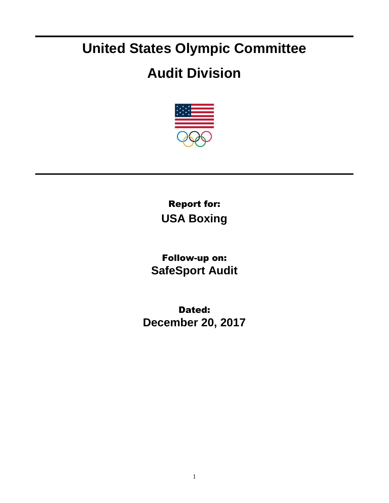## **United States Olympic Committee**

## **Audit Division**



Report for: **USA Boxing**

Follow-up on: **SafeSport Audit**

Dated: **December 20, 2017**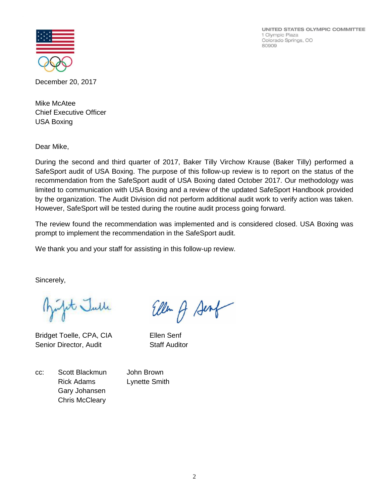UNITED STATES OLYMPIC COMMITTEE 1 Olympic Plaza Colorado Springs, CO 80909



December 20, 2017

Mike McAtee Chief Executive Officer USA Boxing

Dear Mike,

During the second and third quarter of 2017, Baker Tilly Virchow Krause (Baker Tilly) performed a SafeSport audit of USA Boxing. The purpose of this follow-up review is to report on the status of the recommendation from the SafeSport audit of USA Boxing dated October 2017. Our methodology was limited to communication with USA Boxing and a review of the updated SafeSport Handbook provided by the organization. The Audit Division did not perform additional audit work to verify action was taken. However, SafeSport will be tested during the routine audit process going forward.

The review found the recommendation was implemented and is considered closed. USA Boxing was prompt to implement the recommendation in the SafeSport audit.

Ellen of Senf

We thank you and your staff for assisting in this follow-up review.

Sincerely,

Julit Julle

Bridget Toelle, CPA, CIA Ellen Senf Senior Director, Audit Staff Auditor

cc: Scott Blackmun John Brown Rick Adams Lynette Smith Gary Johansen Chris McCleary